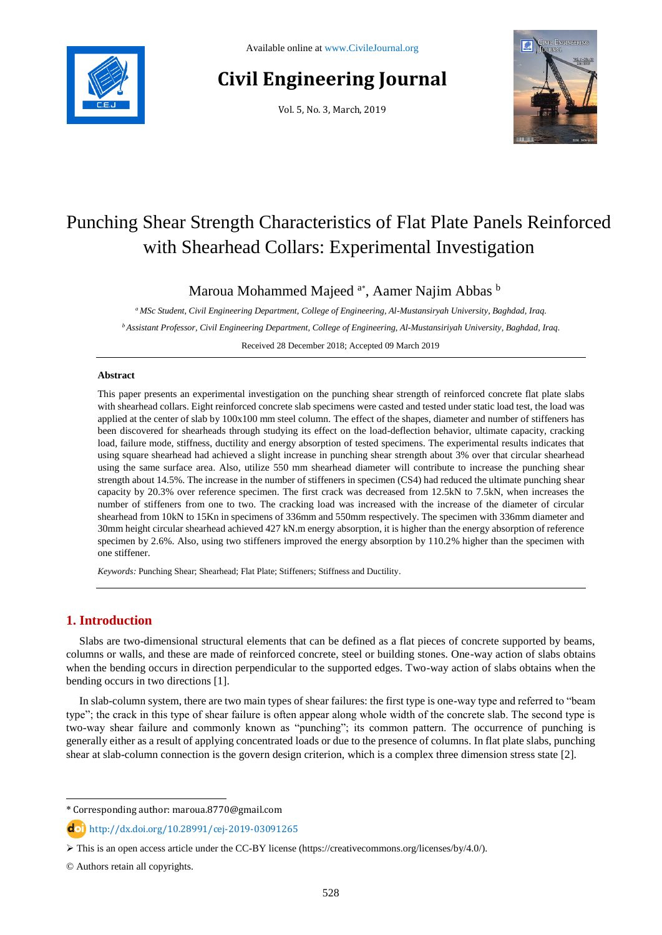

# **Civil Engineering Journal**

Vol. 5, No. 3, March, 2019



## Punching Shear Strength Characteristics of Flat Plate Panels Reinforced with Shearhead Collars: Experimental Investigation

Maroua Mohammed Majeed <sup>a\*</sup>, Aamer Najim Abbas <sup>b</sup>

*<sup>a</sup> MSc Student, Civil Engineering Department, College of Engineering, Al-Mustansiryah University, Baghdad, Iraq. <sup>b</sup>Assistant Professor, Civil Engineering Department, College of Engineering, Al-Mustansiriyah University, Baghdad, Iraq.* Received 28 December 2018; Accepted 09 March 2019

#### **Abstract**

This paper presents an experimental investigation on the punching shear strength of reinforced concrete flat plate slabs with shearhead collars. Eight reinforced concrete slab specimens were casted and tested under static load test, the load was applied at the center of slab by 100x100 mm steel column. The effect of the shapes, diameter and number of stiffeners has been discovered for shearheads through studying its effect on the load-deflection behavior, ultimate capacity, cracking load, failure mode, stiffness, ductility and energy absorption of tested specimens. The experimental results indicates that using square shearhead had achieved a slight increase in punching shear strength about 3% over that circular shearhead using the same surface area. Also, utilize 550 mm shearhead diameter will contribute to increase the punching shear strength about 14.5%. The increase in the number of stiffeners in specimen (CS4) had reduced the ultimate punching shear capacity by 20.3% over reference specimen. The first crack was decreased from 12.5kN to 7.5kN, when increases the number of stiffeners from one to two. The cracking load was increased with the increase of the diameter of circular shearhead from 10kN to 15Kn in specimens of 336mm and 550mm respectively. The specimen with 336mm diameter and 30mm height circular shearhead achieved 427 kN.m energy absorption, it is higher than the energy absorption of reference specimen by 2.6%. Also, using two stiffeners improved the energy absorption by 110.2% higher than the specimen with one stiffener.

*Keywords:* Punching Shear; Shearhead; Flat Plate; Stiffeners; Stiffness and Ductility.

## **1. Introduction**

Slabs are two-dimensional structural elements that can be defined as a flat pieces of concrete supported by beams, columns or walls, and these are made of reinforced concrete, steel or building stones. One-way action of slabs obtains when the bending occurs in direction perpendicular to the supported edges. Two-way action of slabs obtains when the bending occurs in two directions [1].

In slab-column system, there are two main types of shear failures: the first type is one-way type and referred to "beam type"; the crack in this type of shear failure is often appear along whole width of the concrete slab. The second type is two-way shear failure and commonly known as "punching"; its common pattern. The occurrence of punching is generally either as a result of applying concentrated loads or due to the presence of columns. In flat plate slabs, punching shear at slab-column connection is the govern design criterion, which is a complex three dimension stress state [2].

l

<sup>\*</sup> Corresponding author: maroua.8770@gmail.com

http://dx.doi.org/10.28991/cej-2019-03091265

This is an open access article under the CC-BY license [\(https://creativecommons.org/licenses/by/4.0/\)](https://creativecommons.org/licenses/by/4.0/).

<sup>©</sup> Authors retain all copyrights.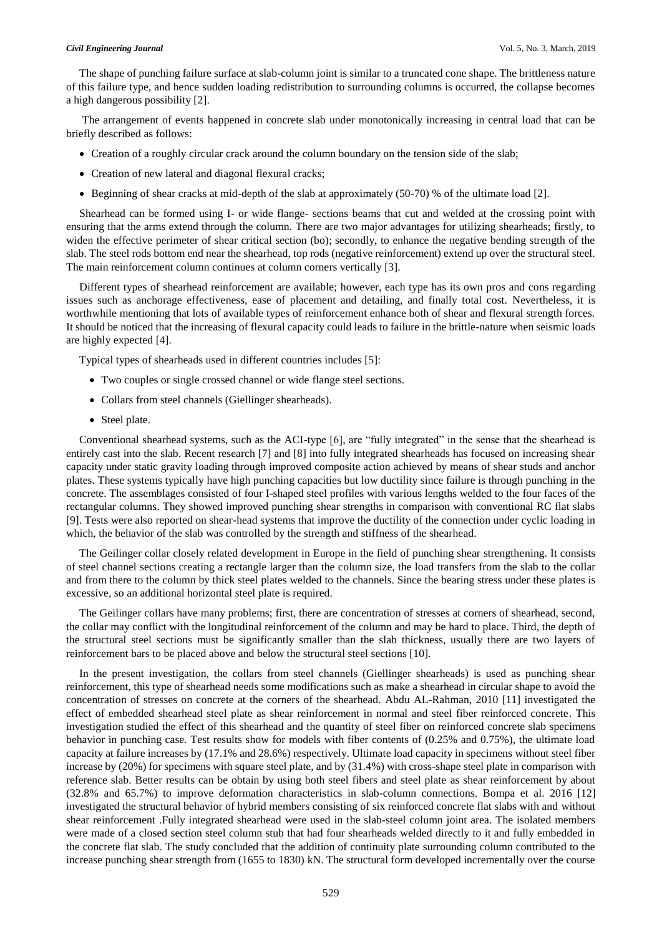#### *Civil Engineering Journal* Vol. 5, No. 3, March, 2019

The shape of punching failure surface at slab-column joint is similar to a truncated cone shape. The brittleness nature of this failure type, and hence sudden loading redistribution to surrounding columns is occurred, the collapse becomes a high dangerous possibility [2].

The arrangement of events happened in concrete slab under monotonically increasing in central load that can be briefly described as follows:

- Creation of a roughly circular crack around the column boundary on the tension side of the slab;
- Creation of new lateral and diagonal flexural cracks;
- Beginning of shear cracks at mid-depth of the slab at approximately (50-70) % of the ultimate load [2].

Shearhead can be formed using I- or wide flange- sections beams that cut and welded at the crossing point with ensuring that the arms extend through the column. There are two major advantages for utilizing shearheads; firstly, to widen the effective perimeter of shear critical section (bo); secondly, to enhance the negative bending strength of the slab. The steel rods bottom end near the shearhead, top rods (negative reinforcement) extend up over the structural steel. The main reinforcement column continues at column corners vertically [3].

Different types of shearhead reinforcement are available; however, each type has its own pros and cons regarding issues such as anchorage effectiveness, ease of placement and detailing, and finally total cost. Nevertheless, it is worthwhile mentioning that lots of available types of reinforcement enhance both of shear and flexural strength forces. It should be noticed that the increasing of flexural capacity could leads to failure in the brittle-nature when seismic loads are highly expected [4].

Typical types of shearheads used in different countries includes [5]:

- Two couples or single crossed channel or wide flange steel sections.
- Collars from steel channels (Giellinger shearheads).
- Steel plate.

Conventional shearhead systems, such as the ACI-type [6], are "fully integrated" in the sense that the shearhead is entirely cast into the slab. Recent research [7] and [8] into fully integrated shearheads has focused on increasing shear capacity under static gravity loading through improved composite action achieved by means of shear studs and anchor plates. These systems typically have high punching capacities but low ductility since failure is through punching in the concrete. The assemblages consisted of four I-shaped steel profiles with various lengths welded to the four faces of the rectangular columns. They showed improved punching shear strengths in comparison with conventional RC flat slabs [9]. Tests were also reported on shear-head systems that improve the ductility of the connection under cyclic loading in which, the behavior of the slab was controlled by the strength and stiffness of the shearhead.

The Geilinger collar closely related development in Europe in the field of punching shear strengthening. It consists of steel channel sections creating a rectangle larger than the column size, the load transfers from the slab to the collar and from there to the column by thick steel plates welded to the channels. Since the bearing stress under these plates is excessive, so an additional horizontal steel plate is required.

The Geilinger collars have many problems; first, there are concentration of stresses at corners of shearhead, second, the collar may conflict with the longitudinal reinforcement of the column and may be hard to place. Third, the depth of the structural steel sections must be significantly smaller than the slab thickness, usually there are two layers of reinforcement bars to be placed above and below the structural steel sections [10].

In the present investigation, the collars from steel channels (Giellinger shearheads) is used as punching shear reinforcement, this type of shearhead needs some modifications such as make a shearhead in circular shape to avoid the concentration of stresses on concrete at the corners of the shearhead. Abdu AL-Rahman, 2010 [11] investigated the effect of embedded shearhead steel plate as shear reinforcement in normal and steel fiber reinforced concrete. This investigation studied the effect of this shearhead and the quantity of steel fiber on reinforced concrete slab specimens behavior in punching case. Test results show for models with fiber contents of (0.25% and 0.75%), the ultimate load capacity at failure increases by (17.1% and 28.6%) respectively. Ultimate load capacity in specimens without steel fiber increase by (20%) for specimens with square steel plate, and by (31.4%) with cross-shape steel plate in comparison with reference slab. Better results can be obtain by using both steel fibers and steel plate as shear reinforcement by about (32.8% and 65.7%) to improve deformation characteristics in slab-column connections. Bompa et al. 2016 [12] investigated the structural behavior of hybrid members consisting of six reinforced concrete flat slabs with and without shear reinforcement .Fully integrated shearhead were used in the slab-steel column joint area. The isolated members were made of a closed section steel column stub that had four shearheads welded directly to it and fully embedded in the concrete flat slab. The study concluded that the addition of continuity plate surrounding column contributed to the increase punching shear strength from (1655 to 1830) kN. The structural form developed incrementally over the course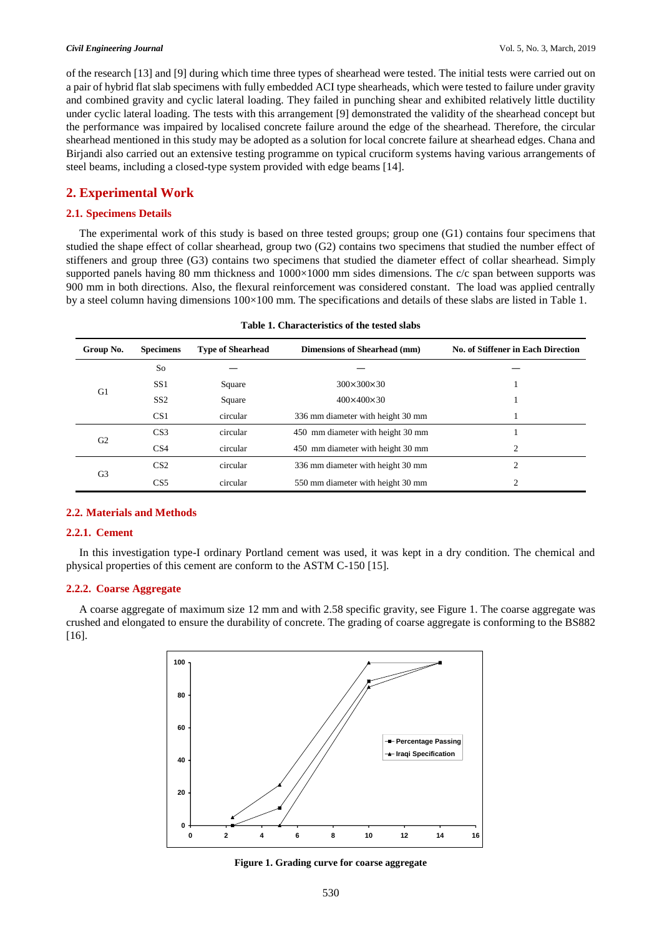#### *Civil Engineering Journal* Vol. 5, No. 3, March, 2019

of the research [13] and [9] during which time three types of shearhead were tested. The initial tests were carried out on a pair of hybrid flat slab specimens with fully embedded ACI type shearheads, which were tested to failure under gravity and combined gravity and cyclic lateral loading. They failed in punching shear and exhibited relatively little ductility under cyclic lateral loading. The tests with this arrangement [9] demonstrated the validity of the shearhead concept but the performance was impaired by localised concrete failure around the edge of the shearhead. Therefore, the circular shearhead mentioned in this study may be adopted as a solution for local concrete failure at shearhead edges. Chana and Birjandi also carried out an extensive testing programme on typical cruciform systems having various arrangements of steel beams, including a closed-type system provided with edge beams [14].

## **2. Experimental Work**

### **2.1. Specimens Details**

The experimental work of this study is based on three tested groups; group one (G1) contains four specimens that studied the shape effect of collar shearhead, group two (G2) contains two specimens that studied the number effect of stiffeners and group three (G3) contains two specimens that studied the diameter effect of collar shearhead. Simply supported panels having 80 mm thickness and  $1000\times1000$  mm sides dimensions. The c/c span between supports was 900 mm in both directions. Also, the flexural reinforcement was considered constant. The load was applied centrally by a steel column having dimensions 100×100 mm. The specifications and details of these slabs are listed in Table 1.

| Group No.      | <b>Specimens</b> | <b>Type of Shearhead</b>         | Dimensions of Shearhead (mm)      | No. of Stiffener in Each Direction |
|----------------|------------------|----------------------------------|-----------------------------------|------------------------------------|
|                | So               |                                  |                                   |                                    |
|                | SS <sub>1</sub>  | Square                           | $300 \times 300 \times 30$        |                                    |
| G <sub>1</sub> | SS <sub>2</sub>  | $400\times400\times30$<br>Square |                                   |                                    |
|                | CS1              | circular                         | 336 mm diameter with height 30 mm |                                    |
|                | CS <sub>3</sub>  | circular                         | 450 mm diameter with height 30 mm |                                    |
| G <sub>2</sub> | CS <sub>4</sub>  | circular                         | 450 mm diameter with height 30 mm | $\overline{c}$                     |
|                | CS <sub>2</sub>  | circular                         | 336 mm diameter with height 30 mm | 2                                  |
| G <sub>3</sub> | CS <sub>5</sub>  | circular                         | 550 mm diameter with height 30 mm | 2                                  |
|                |                  |                                  |                                   |                                    |

| Table 1. Characteristics of the tested slabs |  |  |  |
|----------------------------------------------|--|--|--|
|----------------------------------------------|--|--|--|

#### **2.2. Materials and Methods**

#### **2.2.1. Cement 60**

In this investigation type-I ordinary Portland cement was used, it was kept in a dry condition. The chemical and vergently conditions of this cement are conform to the ASTM C 150 [15] physical properties of this cement are conform to the ASTM C-150 [15].

## **2.2.2. Coarse Aggregate**

A coarse aggregate of maximum size 12 mm and with 2.58 specific gravity, see Figure 1. The coarse aggregate was **40** crushed and elongated to ensure the durability of concrete. The grading of coarse aggregate is conforming to the BS882 [16]. **Iraqi Specification**



**Figure 1. Grading curve for coarse aggregate**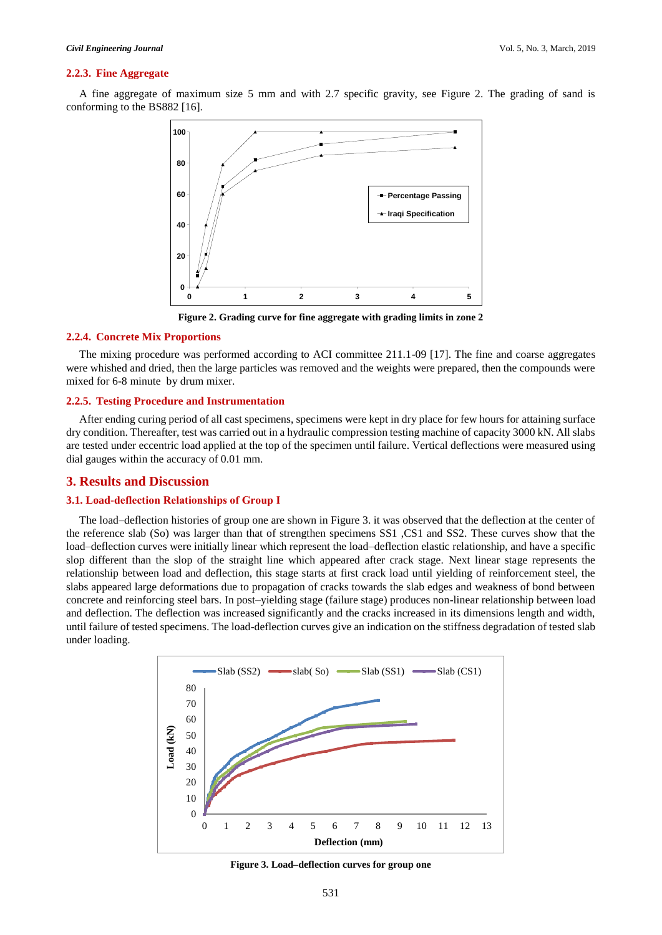#### **2.2.3. Fine Aggregate**

A fine aggregate of maximum size 5 mm and with 2.7 specific gravity, see Figure 2. The grading of sand is conforming to the BS882 [16].



**Figure 2. Grading curve for fine aggregate with grading limits in zone 2**

#### **2.2.4. Concrete Mix Proportions**

The mixing procedure was performed according to ACI committee 211.1-09 [17]. The fine and coarse aggregates were whished and dried, then the large particles was removed and the weights were prepared, then the compounds were mixed for 6-8 minute by drum mixer.

#### **2.2.5. Testing Procedure and Instrumentation**

After ending curing period of all cast specimens, specimens were kept in dry place for few hours for attaining surface dry condition. Thereafter, test was carried out in a hydraulic compression testing machine of capacity 3000 kN. All slabs are tested under eccentric load applied at the top of the specimen until failure. Vertical deflections were measured using dial gauges within the accuracy of 0.01 mm.

#### **3. Results and Discussion**

#### **3.1. Load-deflection Relationships of Group Ӏ**

The load–deflection histories of group one are shown in Figure 3. it was observed that the deflection at the center of the reference slab (So) was larger than that of strengthen specimens SS1 ,CS1 and SS2. These curves show that the load–deflection curves were initially linear which represent the load–deflection elastic relationship, and have a specific slop different than the slop of the straight line which appeared after crack stage. Next linear stage represents the relationship between load and deflection, this stage starts at first crack load until yielding of reinforcement steel, the slabs appeared large deformations due to propagation of cracks towards the slab edges and weakness of bond between concrete and reinforcing steel bars. In post–yielding stage (failure stage) produces non-linear relationship between load and deflection. The deflection was increased significantly and the cracks increased in its dimensions length and width, until failure of tested specimens. The load-deflection curves give an indication on the stiffness degradation of tested slab under loading.



**Figure 3. Load–deflection curves for group one**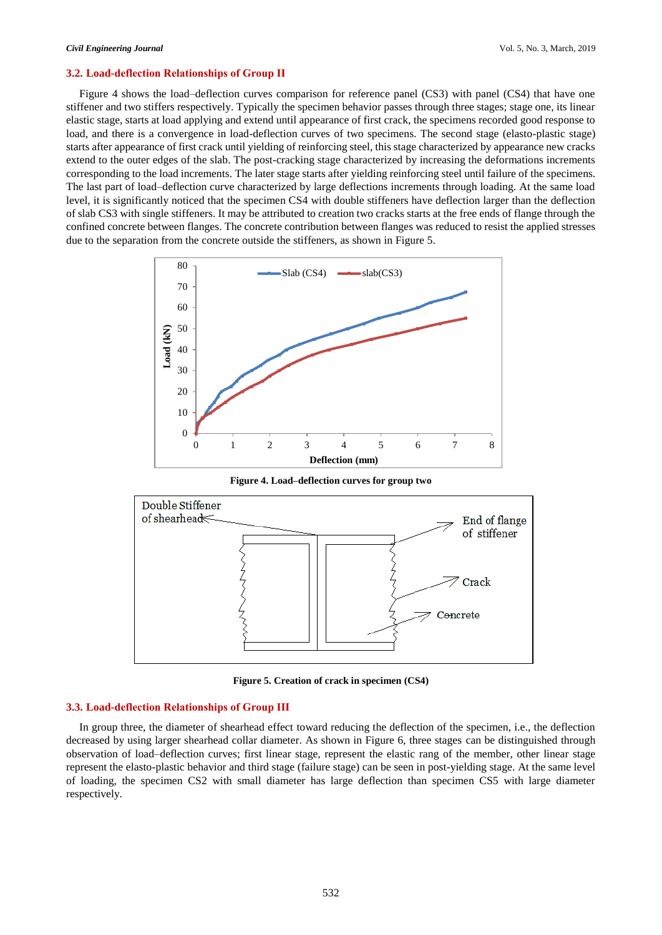#### **3.2. Load-deflection Relationships of Group ӀӀ**

Figure 4 shows the load–deflection curves comparison for reference panel (CS3) with panel (CS4) that have one stiffener and two stiffers respectively. Typically the specimen behavior passes through three stages; stage one, its linear elastic stage, starts at load applying and extend until appearance of first crack, the specimens recorded good response to load, and there is a convergence in load-deflection curves of two specimens. The second stage (elasto-plastic stage) starts after appearance of first crack until yielding of reinforcing steel, this stage characterized by appearance new cracks extend to the outer edges of the slab. The post-cracking stage characterized by increasing the deformations increments corresponding to the load increments. The later stage starts after yielding reinforcing steel until failure of the specimens. The last part of load–deflection curve characterized by large deflections increments through loading. At the same load level, it is significantly noticed that the specimen CS4 with double stiffeners have deflection larger than the deflection of slab CS3 with single stiffeners. It may be attributed to creation two cracks starts at the free ends of flange through the confined concrete between flanges. The concrete contribution between flanges was reduced to resist the applied stresses due to the separation from the concrete outside the stiffeners, as shown in Figure 5.



**Figure 4. Load–deflection curves for group two**



**Figure 5. Creation of crack in specimen (CS4)**

#### **3.3. Load-deflection Relationships of Group ӀӀI**

In group three, the diameter of shearhead effect toward reducing the deflection of the specimen, i.e., the deflection decreased by using larger shearhead collar diameter. As shown in Figure 6, three stages can be distinguished through observation of load–deflection curves; first linear stage, represent the elastic rang of the member, other linear stage represent the elasto-plastic behavior and third stage (failure stage) can be seen in post-yielding stage. At the same level of loading, the specimen CS2 with small diameter has large deflection than specimen CS5 with large diameter respectively.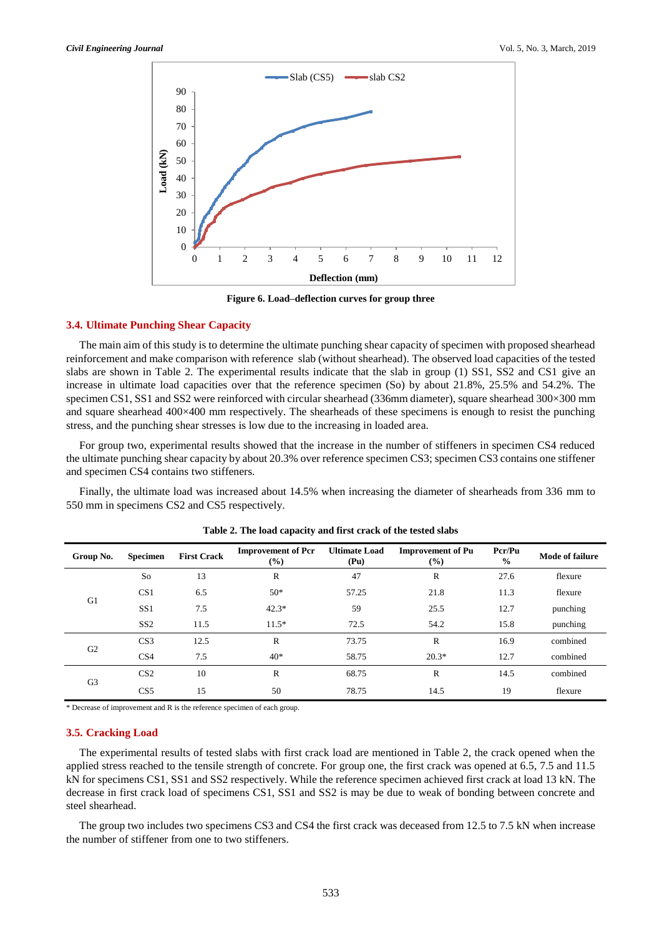

**Figure 6. Load–deflection curves for group three**

#### **3.4. Ultimate Punching Shear Capacity**

The main aim of this study is to determine the ultimate punching shear capacity of specimen with proposed shearhead reinforcement and make comparison with reference slab (without shearhead). The observed load capacities of the tested slabs are shown in Table 2. The experimental results indicate that the slab in group (1) SS1, SS2 and CS1 give an increase in ultimate load capacities over that the reference specimen (So) by about 21.8%, 25.5% and 54.2%. The specimen CS1, SS1 and SS2 were reinforced with circular shearhead (336mm diameter), square shearhead 300×300 mm and square shearhead 400×400 mm respectively. The shearheads of these specimens is enough to resist the punching stress, and the punching shear stresses is low due to the increasing in loaded area.

For group two, experimental results showed that the increase in the number of stiffeners in specimen CS4 reduced the ultimate punching shear capacity by about 20.3% over reference specimen CS3; specimen CS3 contains one stiffener and specimen CS4 contains two stiffeners.

Finally, the ultimate load was increased about 14.5% when increasing the diameter of shearheads from 336 mm to 550 mm in specimens CS2 and CS5 respectively.

| Group No.      | <b>Specimen</b> | <b>First Crack</b> | <b>Improvement of Pcr</b><br>(%) | <b>Ultimate Load</b><br>(Pu) | <b>Improvement of Pu</b><br>$(\%)$ | Pcr/Pu<br>$\frac{6}{9}$ | Mode of failure |
|----------------|-----------------|--------------------|----------------------------------|------------------------------|------------------------------------|-------------------------|-----------------|
|                | So              | 13                 | $\mathbb{R}$                     | 47                           | $\mathbb{R}$                       | 27.6                    | flexure         |
| G1             | CS <sub>1</sub> | 6.5                | $50*$                            | 57.25                        | 21.8                               | 11.3                    | flexure         |
|                | SS <sub>1</sub> | 7.5                | $42.3*$                          | 59                           | 25.5                               | 12.7                    | punching        |
|                | SS <sub>2</sub> | 11.5               | $11.5*$                          | 72.5                         | 54.2                               | 15.8                    | punching        |
| G <sub>2</sub> | CS <sub>3</sub> | 12.5               | R                                | 73.75                        | $\mathbb{R}$                       | 16.9                    | combined        |
|                | CS <sub>4</sub> | 7.5                | $40*$                            | 58.75                        | $20.3*$                            | 12.7                    | combined        |
| G <sub>3</sub> | CS <sub>2</sub> | 10                 | R                                | 68.75                        | $\mathbb{R}$                       | 14.5                    | combined        |
|                | CS <sub>5</sub> | 15                 | 50                               | 78.75                        | 14.5                               | 19                      | flexure         |

**Table 2. The load capacity and first crack of the tested slabs**

\* Decrease of improvement and R is the reference specimen of each group.

#### **3.5. Cracking Load**

The experimental results of tested slabs with first crack load are mentioned in Table 2, the crack opened when the applied stress reached to the tensile strength of concrete. For group one, the first crack was opened at 6.5, 7.5 and 11.5 kN for specimens CS1, SS1 and SS2 respectively. While the reference specimen achieved first crack at load 13 kN. The decrease in first crack load of specimens CS1, SS1 and SS2 is may be due to weak of bonding between concrete and steel shearhead.

The group two includes two specimens CS3 and CS4 the first crack was deceased from 12.5 to 7.5 kN when increase the number of stiffener from one to two stiffeners.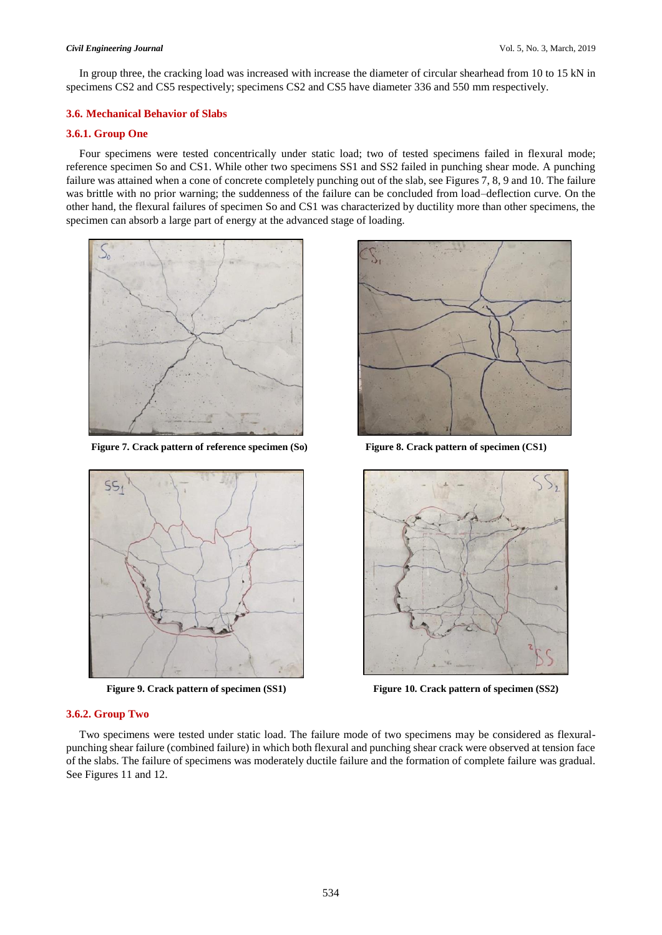In group three, the cracking load was increased with increase the diameter of circular shearhead from 10 to 15 kN in specimens CS2 and CS5 respectively; specimens CS2 and CS5 have diameter 336 and 550 mm respectively.

### **3.6. Mechanical Behavior of Slabs**

#### **3.6.1. Group One**

Four specimens were tested concentrically under static load; two of tested specimens failed in flexural mode; reference specimen So and CS1. While other two specimens SS1 and SS2 failed in punching shear mode. A punching failure was attained when a cone of concrete completely punching out of the slab, see Figures 7, 8, 9 and 10. The failure was brittle with no prior warning; the suddenness of the failure can be concluded from load–deflection curve. On the other hand, the flexural failures of specimen So and CS1 was characterized by ductility more than other specimens, the specimen can absorb a large part of energy at the advanced stage of loading.



**Figure 7. Crack pattern of reference specimen (So) Figure 8. Crack pattern of specimen (CS1)** 







**Figure 9. Crack pattern of specimen (SS1) Figure 10. Crack pattern of specimen (SS2)** 

#### **3.6.2. Group Two**

Two specimens were tested under static load. The failure mode of two specimens may be considered as flexuralpunching shear failure (combined failure) in which both flexural and punching shear crack were observed at tension face of the slabs. The failure of specimens was moderately ductile failure and the formation of complete failure was gradual. See Figures 11 and 12.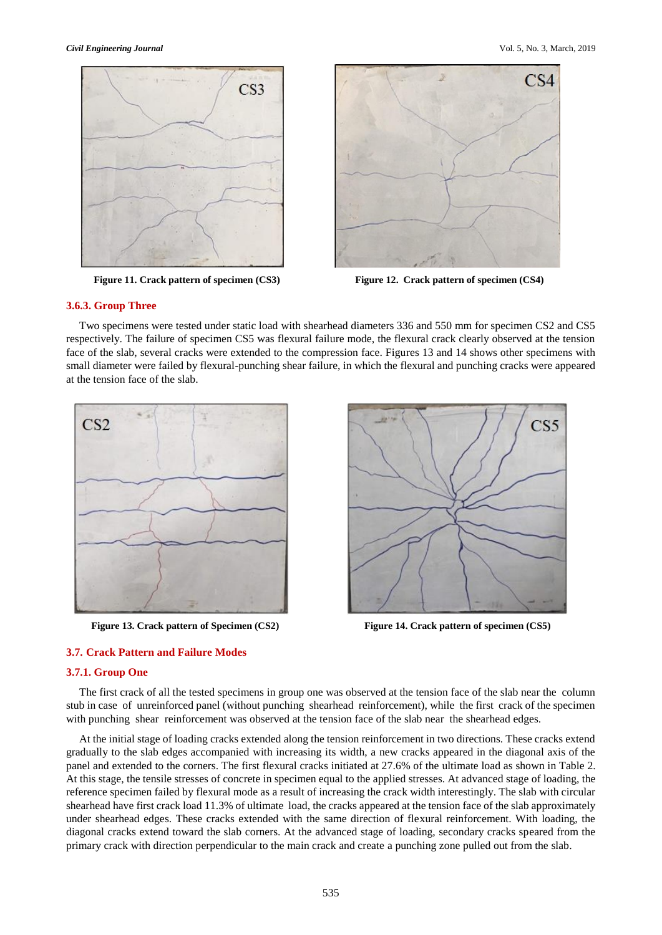

 **Figure 11. Crack pattern of specimen (CS3)** Figure 12. Crack pattern of specimen (CS4)



#### **3.6.3. Group Three**

Two specimens were tested under static load with shearhead diameters 336 and 550 mm for specimen CS2 and CS5 respectively. The failure of specimen CS5 was flexural failure mode, the flexural crack clearly observed at the tension face of the slab, several cracks were extended to the compression face. Figures 13 and 14 shows other specimens with small diameter were failed by flexural-punching shear failure, in which the flexural and punching cracks were appeared at the tension face of the slab.





**Figure 13. Crack pattern of Specimen (CS2) Figure 14. Crack pattern of specimen (CS5)** 

## **3.7. Crack Pattern and Failure Modes**

#### **3.7.1. Group One**

The first crack of all the tested specimens in group one was observed at the tension face of the slab near the column stub in case of unreinforced panel (without punching shearhead reinforcement), while the first crack of the specimen with punching shear reinforcement was observed at the tension face of the slab near the shearhead edges.

At the initial stage of loading cracks extended along the tension reinforcement in two directions. These cracks extend gradually to the slab edges accompanied with increasing its width, a new cracks appeared in the diagonal axis of the panel and extended to the corners. The first flexural cracks initiated at 27.6% of the ultimate load as shown in Table 2. At this stage, the tensile stresses of concrete in specimen equal to the applied stresses. At advanced stage of loading, the reference specimen failed by flexural mode as a result of increasing the crack width interestingly. The slab with circular shearhead have first crack load 11.3% of ultimate load, the cracks appeared at the tension face of the slab approximately under shearhead edges. These cracks extended with the same direction of flexural reinforcement. With loading, the diagonal cracks extend toward the slab corners. At the advanced stage of loading, secondary cracks speared from the primary crack with direction perpendicular to the main crack and create a punching zone pulled out from the slab.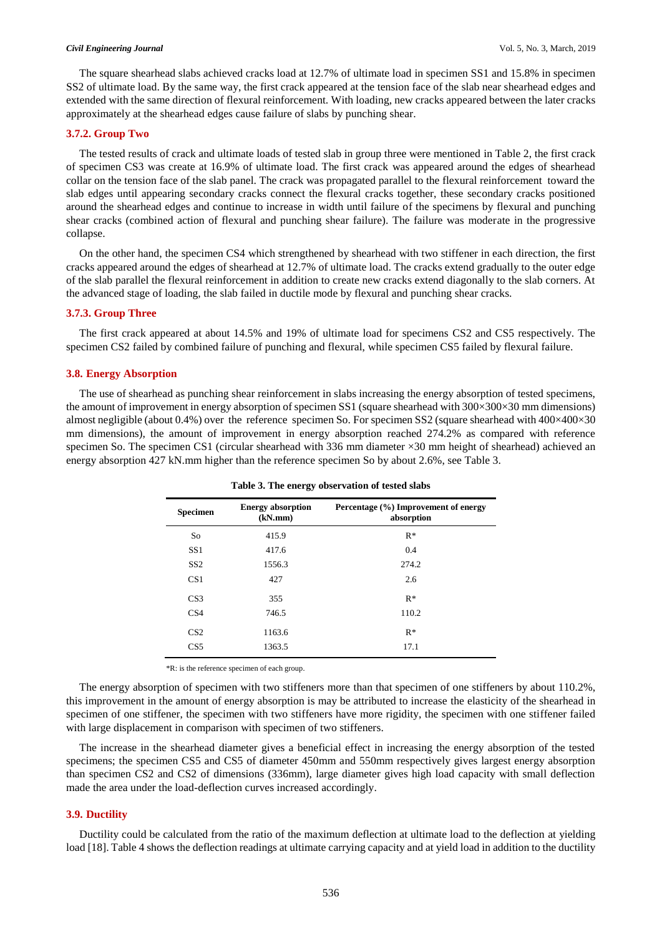The square shearhead slabs achieved cracks load at 12.7% of ultimate load in specimen SS1 and 15.8% in specimen SS2 of ultimate load. By the same way, the first crack appeared at the tension face of the slab near shearhead edges and extended with the same direction of flexural reinforcement. With loading, new cracks appeared between the later cracks approximately at the shearhead edges cause failure of slabs by punching shear.

#### **3.7.2. Group Two**

The tested results of crack and ultimate loads of tested slab in group three were mentioned in Table 2, the first crack of specimen CS3 was create at 16.9% of ultimate load. The first crack was appeared around the edges of shearhead collar on the tension face of the slab panel. The crack was propagated parallel to the flexural reinforcement toward the slab edges until appearing secondary cracks connect the flexural cracks together, these secondary cracks positioned around the shearhead edges and continue to increase in width until failure of the specimens by flexural and punching shear cracks (combined action of flexural and punching shear failure). The failure was moderate in the progressive collapse.

On the other hand, the specimen CS4 which strengthened by shearhead with two stiffener in each direction, the first cracks appeared around the edges of shearhead at 12.7% of ultimate load. The cracks extend gradually to the outer edge of the slab parallel the flexural reinforcement in addition to create new cracks extend diagonally to the slab corners. At the advanced stage of loading, the slab failed in ductile mode by flexural and punching shear cracks.

#### **3.7.3. Group Three**

The first crack appeared at about 14.5% and 19% of ultimate load for specimens CS2 and CS5 respectively. The specimen CS2 failed by combined failure of punching and flexural, while specimen CS5 failed by flexural failure.

#### **3.8. Energy Absorption**

The use of shearhead as punching shear reinforcement in slabs increasing the energy absorption of tested specimens, the amount of improvement in energy absorption of specimen SS1 (square shearhead with 300×300×30 mm dimensions) almost negligible (about 0.4%) over the reference specimen So. For specimen SS2 (square shearhead with 400×400×30 mm dimensions), the amount of improvement in energy absorption reached 274.2% as compared with reference specimen So. The specimen CS1 (circular shearhead with 336 mm diameter ×30 mm height of shearhead) achieved an energy absorption 427 kN.mm higher than the reference specimen So by about 2.6%, see Table 3.

| <b>Specimen</b> | <b>Energy absorption</b><br>(kN/mm) | Percentage (%) Improvement of energy<br>absorption |
|-----------------|-------------------------------------|----------------------------------------------------|
| So              | 415.9                               | $R^*$                                              |
| SS <sub>1</sub> | 417.6                               | 0.4                                                |
| SS <sub>2</sub> | 1556.3                              | 274.2                                              |
| CS <sub>1</sub> | 427                                 | 2.6                                                |
| CS <sub>3</sub> | 355                                 | $R^*$                                              |
| CS <sub>4</sub> | 746.5                               | 110.2                                              |
| CS <sub>2</sub> | 1163.6                              | $R^*$                                              |
| CS <sub>5</sub> | 1363.5                              | 17.1                                               |

**Table 3. The energy observation of tested slabs**

\*R: is the reference specimen of each group.

The energy absorption of specimen with two stiffeners more than that specimen of one stiffeners by about 110.2%, this improvement in the amount of energy absorption is may be attributed to increase the elasticity of the shearhead in specimen of one stiffener, the specimen with two stiffeners have more rigidity, the specimen with one stiffener failed with large displacement in comparison with specimen of two stiffeners.

The increase in the shearhead diameter gives a beneficial effect in increasing the energy absorption of the tested specimens; the specimen CS5 and CS5 of diameter 450mm and 550mm respectively gives largest energy absorption than specimen CS2 and CS2 of dimensions (336mm), large diameter gives high load capacity with small deflection made the area under the load-deflection curves increased accordingly.

#### **3.9. Ductility**

Ductility could be calculated from the ratio of the maximum deflection at ultimate load to the deflection at yielding load [18]. Table 4 shows the deflection readings at ultimate carrying capacity and at yield load in addition to the ductility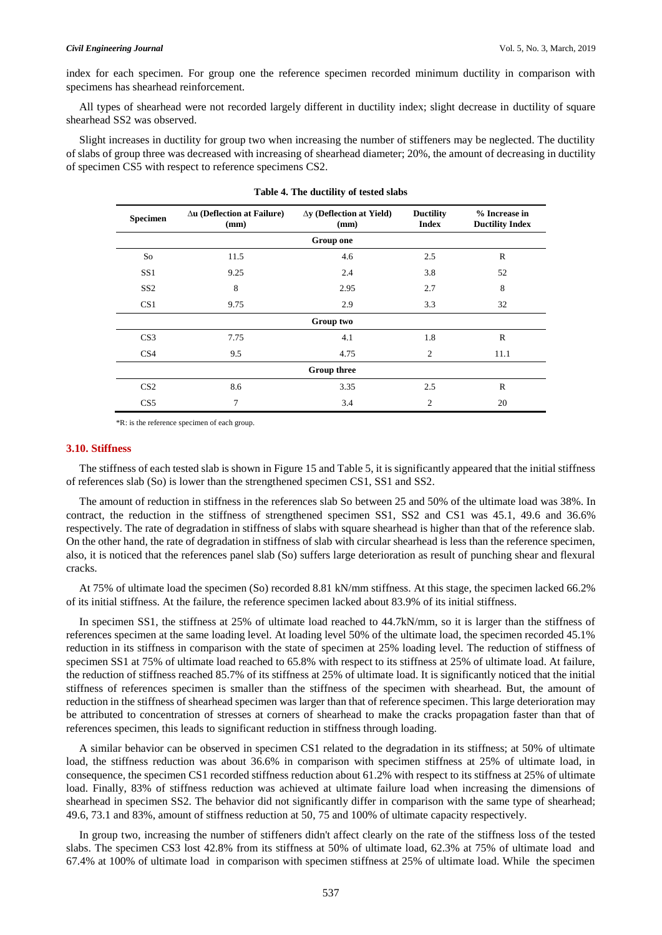index for each specimen. For group one the reference specimen recorded minimum ductility in comparison with specimens has shearhead reinforcement.

All types of shearhead were not recorded largely different in ductility index; slight decrease in ductility of square shearhead SS2 was observed.

Slight increases in ductility for group two when increasing the number of stiffeners may be neglected. The ductility of slabs of group three was decreased with increasing of shearhead diameter; 20%, the amount of decreasing in ductility of specimen CS5 with respect to reference specimens CS2.

| <b>Specimen</b> | $\Delta$ u (Deflection at Failure)<br>(mm) | $\Delta y$ (Deflection at Yield)<br>(mm) | <b>Ductility</b><br><b>Index</b> | % Increase in<br><b>Ductility Index</b> |
|-----------------|--------------------------------------------|------------------------------------------|----------------------------------|-----------------------------------------|
|                 |                                            | <b>Group one</b>                         |                                  |                                         |
| So              | 11.5                                       | 4.6                                      | 2.5                              | $\mathbb{R}$                            |
| SS <sub>1</sub> | 9.25                                       | 2.4                                      | 3.8                              | 52                                      |
| SS2             | 8                                          | 2.95                                     | 2.7                              | 8                                       |
| CS <sub>1</sub> | 9.75                                       | 2.9                                      | 3.3                              | 32                                      |
|                 |                                            | Group two                                |                                  |                                         |
| CS <sub>3</sub> | 7.75                                       | 4.1                                      | 1.8                              | $\mathsf{R}$                            |
| CS <sub>4</sub> | 9.5                                        | 4.75                                     | $\overline{2}$                   | 11.1                                    |
|                 |                                            | <b>Group three</b>                       |                                  |                                         |
| CS <sub>2</sub> | 8.6                                        | 3.35                                     | 2.5                              | $\mathbb{R}$                            |
| CS <sub>5</sub> | 7                                          | 3.4                                      | 2                                | 20                                      |

| Table 4. The ductility of tested slabs |  |
|----------------------------------------|--|
|----------------------------------------|--|

\*R: is the reference specimen of each group.

#### **3.10. Stiffness**

The stiffness of each tested slab is shown in Figure 15 and Table 5, it is significantly appeared that the initial stiffness of references slab (So) is lower than the strengthened specimen CS1, SS1 and SS2.

The amount of reduction in stiffness in the references slab So between 25 and 50% of the ultimate load was 38%. In contract, the reduction in the stiffness of strengthened specimen SS1, SS2 and CS1 was 45.1, 49.6 and 36.6% respectively. The rate of degradation in stiffness of slabs with square shearhead is higher than that of the reference slab. On the other hand, the rate of degradation in stiffness of slab with circular shearhead is less than the reference specimen, also, it is noticed that the references panel slab (So) suffers large deterioration as result of punching shear and flexural cracks.

At 75% of ultimate load the specimen (So) recorded 8.81 kN/mm stiffness. At this stage, the specimen lacked 66.2% of its initial stiffness. At the failure, the reference specimen lacked about 83.9% of its initial stiffness.

In specimen SS1, the stiffness at 25% of ultimate load reached to 44.7kN/mm, so it is larger than the stiffness of references specimen at the same loading level. At loading level 50% of the ultimate load, the specimen recorded 45.1% reduction in its stiffness in comparison with the state of specimen at 25% loading level. The reduction of stiffness of specimen SS1 at 75% of ultimate load reached to 65.8% with respect to its stiffness at 25% of ultimate load. At failure, the reduction of stiffness reached 85.7% of its stiffness at 25% of ultimate load. It is significantly noticed that the initial stiffness of references specimen is smaller than the stiffness of the specimen with shearhead. But, the amount of reduction in the stiffness of shearhead specimen was larger than that of reference specimen. This large deterioration may be attributed to concentration of stresses at corners of shearhead to make the cracks propagation faster than that of references specimen, this leads to significant reduction in stiffness through loading.

A similar behavior can be observed in specimen CS1 related to the degradation in its stiffness; at 50% of ultimate load, the stiffness reduction was about 36.6% in comparison with specimen stiffness at 25% of ultimate load, in consequence, the specimen CS1 recorded stiffness reduction about 61.2% with respect to its stiffness at 25% of ultimate load. Finally, 83% of stiffness reduction was achieved at ultimate failure load when increasing the dimensions of shearhead in specimen SS2. The behavior did not significantly differ in comparison with the same type of shearhead; 49.6, 73.1 and 83%, amount of stiffness reduction at 50, 75 and 100% of ultimate capacity respectively.

In group two, increasing the number of stiffeners didn't affect clearly on the rate of the stiffness loss of the tested slabs. The specimen CS3 lost 42.8% from its stiffness at 50% of ultimate load, 62.3% at 75% of ultimate load and 67.4% at 100% of ultimate load in comparison with specimen stiffness at 25% of ultimate load. While the specimen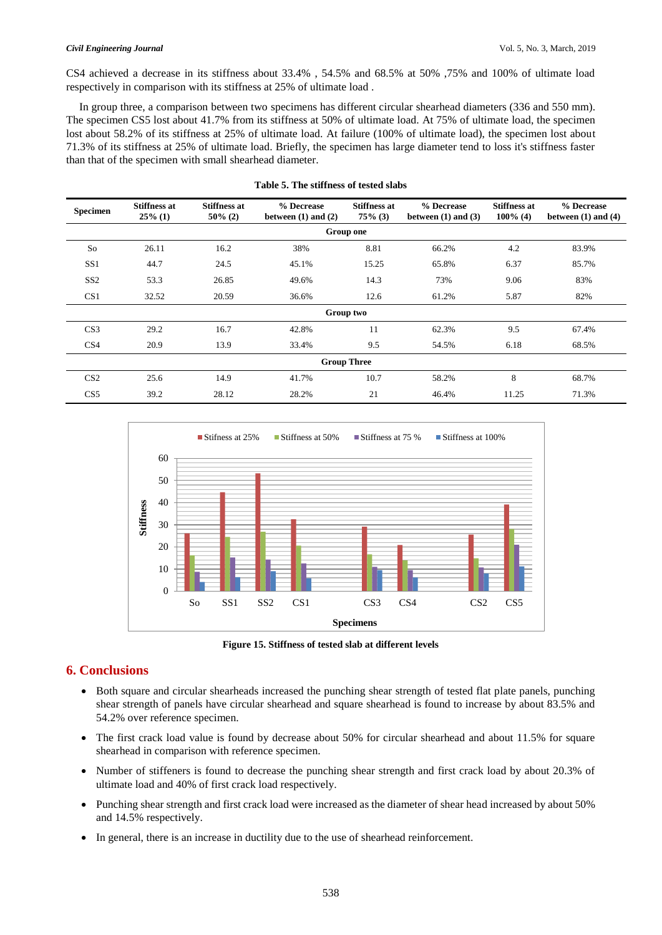#### *Civil Engineering Journal* Vol. 5, No. 3, March, 2019

CS4 achieved a decrease in its stiffness about 33.4% , 54.5% and 68.5% at 50% ,75% and 100% of ultimate load respectively in comparison with its stiffness at 25% of ultimate load .

In group three, a comparison between two specimens has different circular shearhead diameters (336 and 550 mm). The specimen CS5 lost about 41.7% from its stiffness at 50% of ultimate load. At 75% of ultimate load, the specimen lost about 58.2% of its stiffness at 25% of ultimate load. At failure (100% of ultimate load), the specimen lost about 71.3% of its stiffness at 25% of ultimate load. Briefly, the specimen has large diameter tend to loss it's stiffness faster than that of the specimen with small shearhead diameter.

| <b>Specimen</b>    | <b>Stiffness at</b><br>$25\%$ (1) | <b>Stiffness at</b><br>$50\%$ (2) | % Decrease<br>between $(1)$ and $(2)$ | <b>Stiffness at</b><br>$75\%$ (3) | % Decrease<br>between $(1)$ and $(3)$ | <b>Stiffness at</b><br>$100\%$ (4) | % Decrease<br>between $(1)$ and $(4)$ |  |  |
|--------------------|-----------------------------------|-----------------------------------|---------------------------------------|-----------------------------------|---------------------------------------|------------------------------------|---------------------------------------|--|--|
| Group one          |                                   |                                   |                                       |                                   |                                       |                                    |                                       |  |  |
| So                 | 26.11                             | 16.2                              | 38%                                   | 8.81                              | 66.2%                                 | 4.2                                | 83.9%                                 |  |  |
| SS <sub>1</sub>    | 44.7                              | 24.5                              | 45.1%                                 | 15.25                             | 65.8%                                 | 6.37                               | 85.7%                                 |  |  |
| SS <sub>2</sub>    | 53.3                              | 26.85                             | 49.6%                                 | 14.3                              | 73%                                   | 9.06                               | 83%                                   |  |  |
| CS <sub>1</sub>    | 32.52                             | 20.59                             | 36.6%                                 | 12.6                              | 61.2%                                 | 5.87                               | 82%                                   |  |  |
| Group two          |                                   |                                   |                                       |                                   |                                       |                                    |                                       |  |  |
| CS <sub>3</sub>    | 29.2                              | 16.7                              | 42.8%                                 | 11                                | 62.3%                                 | 9.5                                | 67.4%                                 |  |  |
| CS <sub>4</sub>    | 20.9                              | 13.9                              | 33.4%                                 | 9.5                               | 54.5%                                 | 6.18                               | 68.5%                                 |  |  |
| <b>Group Three</b> |                                   |                                   |                                       |                                   |                                       |                                    |                                       |  |  |
| CS <sub>2</sub>    | 25.6                              | 14.9                              | 41.7%                                 | 10.7                              | 58.2%                                 | 8                                  | 68.7%                                 |  |  |
| CS <sub>5</sub>    | 39.2                              | 28.12                             | 28.2%                                 | 21                                | 46.4%                                 | 11.25                              | 71.3%                                 |  |  |

| Table 5. The stiffness of tested slabs |  |  |  |  |  |  |  |
|----------------------------------------|--|--|--|--|--|--|--|
|----------------------------------------|--|--|--|--|--|--|--|



**Figure 15. Stiffness of tested slab at different levels**

## **6. Conclusions**

- Both square and circular shearheads increased the punching shear strength of tested flat plate panels, punching shear strength of panels have circular shearhead and square shearhead is found to increase by about 83.5% and 54.2% over reference specimen.
- The first crack load value is found by decrease about 50% for circular shearhead and about 11.5% for square shearhead in comparison with reference specimen.
- Number of stiffeners is found to decrease the punching shear strength and first crack load by about 20.3% of ultimate load and 40% of first crack load respectively.
- Punching shear strength and first crack load were increased as the diameter of shear head increased by about 50% and 14.5% respectively.
- In general, there is an increase in ductility due to the use of shearhead reinforcement.